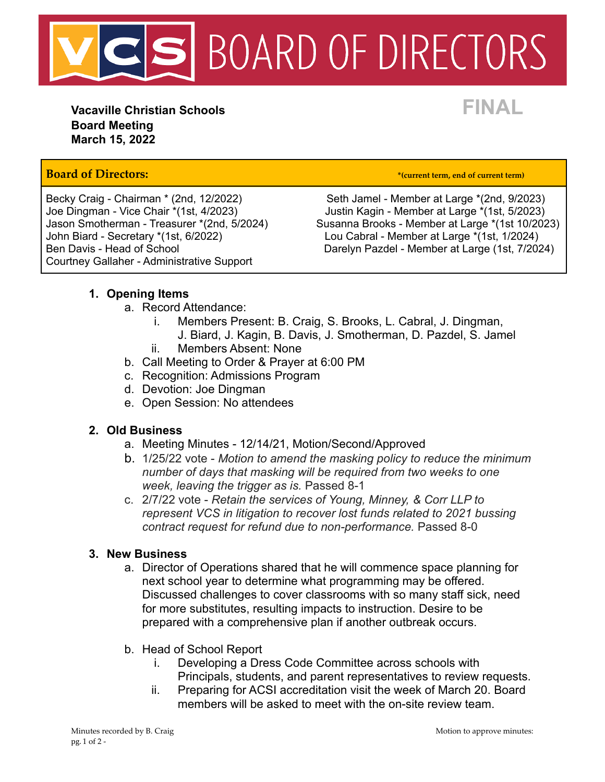

**Vacaville Christian Schools FINAL Board Meeting March 15, 2022**

## **Board of Directors: \*(current term, end of current term)**

John Biard - Secretary \*(1st, 6/2022) Lou Cabral - Member at Large \*(1st, 1/2024) Courtney Gallaher - Administrative Support

Becky Craig - Chairman \* (2nd, 12/2022) Seth Jamel - Member at Large \* (2nd, 9/2023) Joe Dingman - Vice Chair \*(1st, 4/2023)<br>Jason Smotherman - Treasurer \*(2nd, 5/2024) Susanna Brooks - Member at Large \*(1st 10/202 Susanna Brooks - Member at Large \*(1st 10/2023) Ben Davis - Head of School **Darelyn Pazdel - Member at Large (1st, 7/2024)** 

### **1. Opening Items**

- a. Record Attendance:
	- i. Members Present: B. Craig, S. Brooks, L. Cabral, J. Dingman,
	- J. Biard, J. Kagin, B. Davis, J. Smotherman, D. Pazdel, S. Jamel ii. Members Absent: None
- b. Call Meeting to Order & Prayer at 6:00 PM
- c. Recognition: Admissions Program
- d. Devotion: Joe Dingman
- e. Open Session: No attendees

### **2. Old Business**

- a. Meeting Minutes 12/14/21, Motion/Second/Approved
- b. 1/25/22 vote *Motion to amend the masking policy to reduce the minimum number of days that masking will be required from two weeks to one week, leaving the trigger as is.* Passed 8-1
- c. 2/7/22 vote *Retain the services of Young, Minney, & Corr LLP to represent VCS in litigation to recover lost funds related to 2021 bussing contract request for refund due to non-performance.* Passed 8-0

### **3. New Business**

- a. Director of Operations shared that he will commence space planning for next school year to determine what programming may be offered. Discussed challenges to cover classrooms with so many staff sick, need for more substitutes, resulting impacts to instruction. Desire to be prepared with a comprehensive plan if another outbreak occurs.
- b. Head of School Report
	- i. Developing a Dress Code Committee across schools with Principals, students, and parent representatives to review requests.
	- ii. Preparing for ACSI accreditation visit the week of March 20. Board members will be asked to meet with the on-site review team.